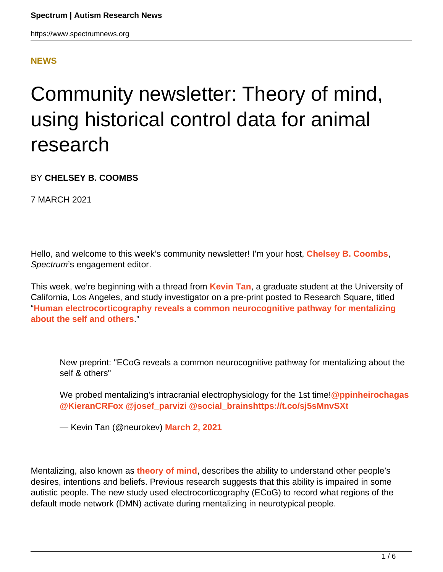## **[NEWS](HTTPS://WWW.SPECTRUMNEWS.ORG/NEWS/)**

## Community newsletter: Theory of mind, using historical control data for animal research

BY **CHELSEY B. COOMBS**

7 MARCH 2021

Hello, and welcome to this week's community newsletter! I'm your host, **[Chelsey B. Coombs](http://twitter.com/chelseybcoombs)**, Spectrum's engagement editor.

This week, we're beginning with a thread from **[Kevin Tan](https://twitter.com/neurokev/)**, a graduate student at the University of California, Los Angeles, and study investigator on a pre-print posted to Research Square, titled "**[Human electrocorticography reveals a common neurocognitive pathway for mentalizing](https://www.researchsquare.com/article/rs-257986/v1) [about the self and others](https://www.researchsquare.com/article/rs-257986/v1)**."

New preprint: "ECoG reveals a common neurocognitive pathway for mentalizing about the self & others"

We probed mentalizing's intracranial electrophysiology for the 1st time!**[@ppinheirochagas](https://twitter.com/ppinheirochagas?ref_src=twsrc%5Etfw) [@KieranCRFox](https://twitter.com/KieranCRFox?ref_src=twsrc%5Etfw) [@josef\\_parvizi](https://twitter.com/josef_parvizi?ref_src=twsrc%5Etfw) [@social\\_brains](https://twitter.com/social_brains?ref_src=twsrc%5Etfw)<https://t.co/sj5sMnvSXt>**

— Kevin Tan (@neurokev) **[March 2, 2021](https://twitter.com/neurokev/status/1366558434561204224?ref_src=twsrc%5Etfw)**

Mentalizing, also known as **[theory of mind](https://www.spectrumnews.org/wiki/theory-of-mind/)**, describes the ability to understand other people's desires, intentions and beliefs. Previous research suggests that this ability is impaired in some autistic people. The new study used electrocorticography (ECoG) to record what regions of the default mode network (DMN) activate during mentalizing in neurotypical people.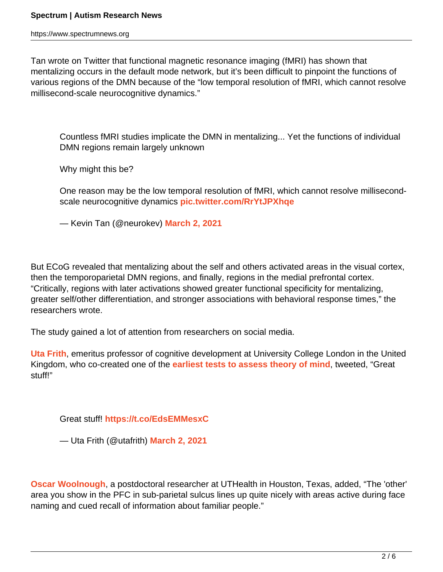Tan wrote on Twitter that functional magnetic resonance imaging (fMRI) has shown that mentalizing occurs in the default mode network, but it's been difficult to pinpoint the functions of various regions of the DMN because of the "low temporal resolution of fMRI, which cannot resolve millisecond-scale neurocognitive dynamics."

Countless fMRI studies implicate the DMN in mentalizing... Yet the functions of individual DMN regions remain largely unknown

Why might this be?

One reason may be the low temporal resolution of fMRI, which cannot resolve millisecondscale neurocognitive dynamics **[pic.twitter.com/RrYtJPXhqe](https://t.co/RrYtJPXhqe)**

— Kevin Tan (@neurokev) **[March 2, 2021](https://twitter.com/neurokev/status/1366589191736291330?ref_src=twsrc%5Etfw)**

But ECoG revealed that mentalizing about the self and others activated areas in the visual cortex, then the temporoparietal DMN regions, and finally, regions in the medial prefrontal cortex. "Critically, regions with later activations showed greater functional specificity for mentalizing, greater self/other differentiation, and stronger associations with behavioral response times," the researchers wrote.

The study gained a lot of attention from researchers on social media.

**[Uta Frith](https://twitter.com/utafrith/)**, emeritus professor of cognitive development at University College London in the United Kingdom, who co-created one of the **[earliest tests to assess theory of mind](https://www.spectrumnews.org/news/profiles/uta-and-chris-frith-a-partnership-of-the-mind/)**, tweeted, "Great stuff!"

Great stuff! **<https://t.co/EdsEMMesxC>**

— Uta Frith (@utafrith) **[March 2, 2021](https://twitter.com/utafrith/status/1366740150781411328?ref_src=twsrc%5Etfw)**

**[Oscar Woolnough](https://twitter.com/OWoolnough)**, a postdoctoral researcher at UTHealth in Houston, Texas, added, "The 'other' area you show in the PFC in sub-parietal sulcus lines up quite nicely with areas active during face naming and cued recall of information about familiar people."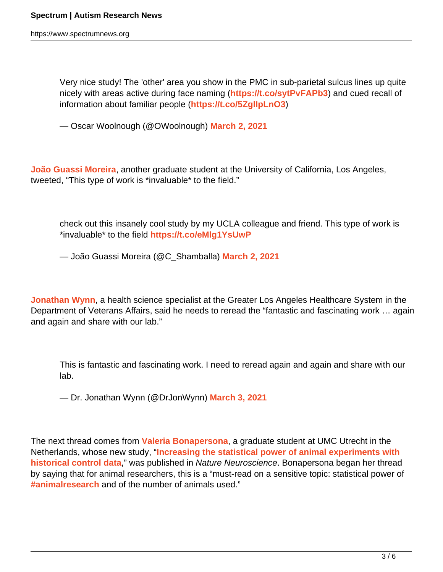https://www.spectrumnews.org

Very nice study! The 'other' area you show in the PMC in sub-parietal sulcus lines up quite nicely with areas active during face naming (**<https://t.co/sytPvFAPb3>**) and cued recall of information about familiar people (**<https://t.co/5ZglIpLnO3>**)

— Oscar Woolnough (@OWoolnough) **[March 2, 2021](https://twitter.com/OWoolnough/status/1366874166343909384?ref_src=twsrc%5Etfw)**

**[João Guassi Moreira](https://twitter.com/C_Shamballa/)**, another graduate student at the University of California, Los Angeles, tweeted, "This type of work is \*invaluable\* to the field."

check out this insanely cool study by my UCLA colleague and friend. This type of work is \*invaluable\* to the field **<https://t.co/eMlg1YsUwP>**

— João Guassi Moreira (@C\_Shamballa) **[March 2, 2021](https://twitter.com/C_Shamballa/status/1366583964056489984?ref_src=twsrc%5Etfw)**

**[Jonathan Wynn](https://twitter.com/DrJonWynn/)**, a health science specialist at the Greater Los Angeles Healthcare System in the Department of Veterans Affairs, said he needs to reread the "fantastic and fascinating work … again and again and share with our lab."

This is fantastic and fascinating work. I need to reread again and again and share with our lab.

— Dr. Jonathan Wynn (@DrJonWynn) **[March 3, 2021](https://twitter.com/DrJonWynn/status/1366922014250856449?ref_src=twsrc%5Etfw)**

The next thread comes from **[Valeria Bonapersona](https://twitter.com/VBonapersona/)**, a graduate student at UMC Utrecht in the Netherlands, whose new study, "**[Increasing the statistical power of animal experiments with](https://www.nature.com/articles/s41593-020-00792-3) [historical control data](https://www.nature.com/articles/s41593-020-00792-3)**," was published in Nature Neuroscience. Bonapersona began her thread by saying that for animal researchers, this is a "must-read on a sensitive topic: statistical power of **[#animalresearch](https://twitter.com/hashtag/animalresearch?src=hashtag_click)** and of the number of animals used."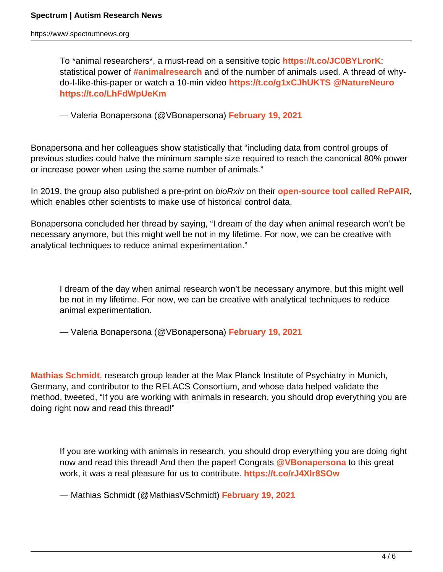To \*animal researchers\*, a must-read on a sensitive topic **<https://t.co/JC0BYLrorK>**: statistical power of **[#animalresearch](https://twitter.com/hashtag/animalresearch?src=hash&ref_src=twsrc%5Etfw)** and of the number of animals used. A thread of whydo-I-like-this-paper or watch a 10-min video **<https://t.co/g1xCJhUKTS> [@NatureNeuro](https://twitter.com/NatureNeuro?ref_src=twsrc%5Etfw) <https://t.co/LhFdWpUeKm>**

— Valeria Bonapersona (@VBonapersona) **[February 19, 2021](https://twitter.com/VBonapersona/status/1362705798212812801?ref_src=twsrc%5Etfw)**

Bonapersona and her colleagues show statistically that "including data from control groups of previous studies could halve the minimum sample size required to reach the canonical 80% power or increase power when using the same number of animals."

In 2019, the group also published a pre-print on bioRxiv on their **[open-source tool called RePAIR](https://www.biorxiv.org/content/10.1101/864652v1)**, which enables other scientists to make use of historical control data.

Bonapersona concluded her thread by saying, "I dream of the day when animal research won't be necessary anymore, but this might well be not in my lifetime. For now, we can be creative with analytical techniques to reduce animal experimentation."

I dream of the day when animal research won't be necessary anymore, but this might well be not in my lifetime. For now, we can be creative with analytical techniques to reduce animal experimentation.

— Valeria Bonapersona (@VBonapersona) **[February 19, 2021](https://twitter.com/VBonapersona/status/1362705885567582208?ref_src=twsrc%5Etfw)**

**[Mathias Schmidt](https://twitter.com/MathiasVSchmidt/)**, research group leader at the Max Planck Institute of Psychiatry in Munich, Germany, and contributor to the RELACS Consortium, and whose data helped validate the method, tweeted, "If you are working with animals in research, you should drop everything you are doing right now and read this thread!"

If you are working with animals in research, you should drop everything you are doing right now and read this thread! And then the paper! Congrats **[@VBonapersona](https://twitter.com/VBonapersona?ref_src=twsrc%5Etfw)** to this great work, it was a real pleasure for us to contribute. **<https://t.co/rJ4Xlr8SOw>**

— Mathias Schmidt (@MathiasVSchmidt) **[February 19, 2021](https://twitter.com/MathiasVSchmidt/status/1362803388090617867?ref_src=twsrc%5Etfw)**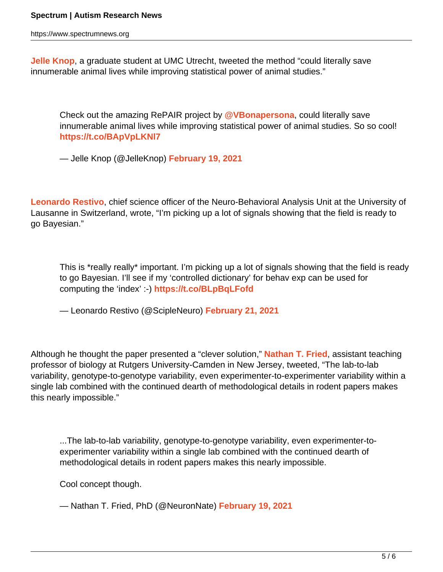https://www.spectrumnews.org

**[Jelle Knop](https://twitter.com/JelleKnop/)**, a graduate student at UMC Utrecht, tweeted the method "could literally save innumerable animal lives while improving statistical power of animal studies."

Check out the amazing RePAIR project by **[@VBonapersona](https://twitter.com/VBonapersona?ref_src=twsrc%5Etfw)**, could literally save innumerable animal lives while improving statistical power of animal studies. So so cool! **<https://t.co/BApVpLKNl7>**

— Jelle Knop (@JelleKnop) **[February 19, 2021](https://twitter.com/JelleKnop/status/1362711124198703105?ref_src=twsrc%5Etfw)**

**[Leonardo Restivo](https://twitter.com/ScipleNeuro/)**, chief science officer of the Neuro-Behavioral Analysis Unit at the University of Lausanne in Switzerland, wrote, "I'm picking up a lot of signals showing that the field is ready to go Bayesian."

This is \*really really\* important. I'm picking up a lot of signals showing that the field is ready to go Bayesian. I'll see if my 'controlled dictionary' for behav exp can be used for computing the 'index' :-) **<https://t.co/BLpBqLFofd>**

— Leonardo Restivo (@ScipleNeuro) **[February 21, 2021](https://twitter.com/ScipleNeuro/status/1363447287561805825?ref_src=twsrc%5Etfw)**

Although he thought the paper presented a "clever solution," **[Nathan T. Fried](https://twitter.com/NeuronNate/)**, assistant teaching professor of biology at Rutgers University-Camden in New Jersey, tweeted, "The lab-to-lab variability, genotype-to-genotype variability, even experimenter-to-experimenter variability within a single lab combined with the continued dearth of methodological details in rodent papers makes this nearly impossible."

...The lab-to-lab variability, genotype-to-genotype variability, even experimenter-toexperimenter variability within a single lab combined with the continued dearth of methodological details in rodent papers makes this nearly impossible.

Cool concept though.

— Nathan T. Fried, PhD (@NeuronNate) **[February 19, 2021](https://twitter.com/NeuronNate/status/1362874984411103233?ref_src=twsrc%5Etfw)**